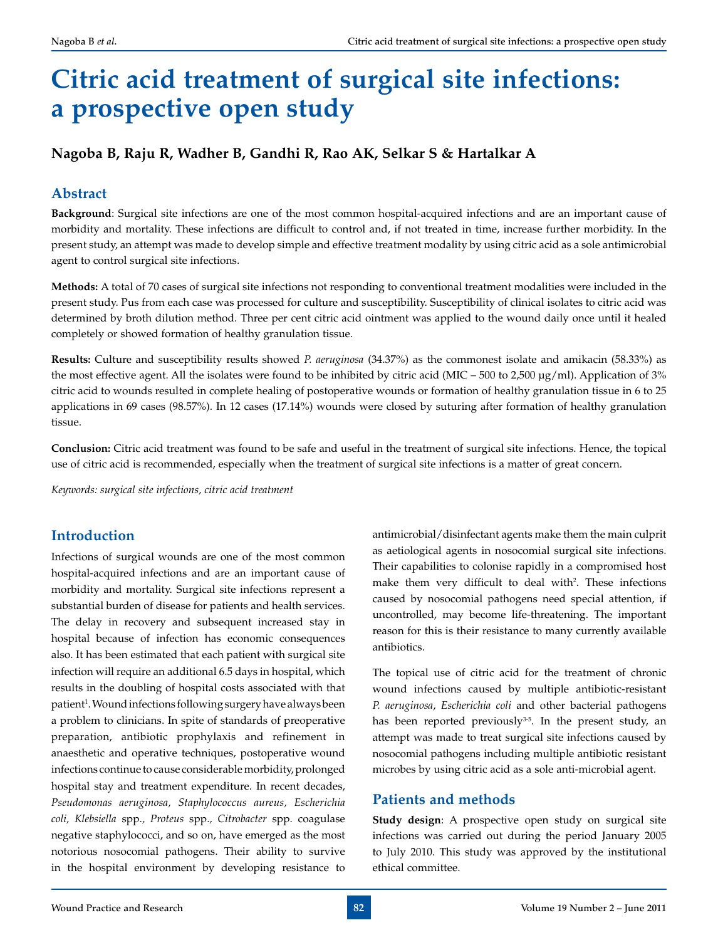# **Citric acid treatment of surgical site infections: a prospective open study**

# **Nagoba B, Raju R, Wadher B, Gandhi R, Rao AK, Selkar S & Hartalkar A**

# **Abstract**

**Background**: Surgical site infections are one of the most common hospital-acquired infections and are an important cause of morbidity and mortality. These infections are difficult to control and, if not treated in time, increase further morbidity. In the present study, an attempt was made to develop simple and effective treatment modality by using citric acid as a sole antimicrobial agent to control surgical site infections.

**Methods:** A total of 70 cases of surgical site infections not responding to conventional treatment modalities were included in the present study. Pus from each case was processed for culture and susceptibility. Susceptibility of clinical isolates to citric acid was determined by broth dilution method. Three per cent citric acid ointment was applied to the wound daily once until it healed completely or showed formation of healthy granulation tissue.

**Results:** Culture and susceptibility results showed *P. aeruginosa* (34.37%) as the commonest isolate and amikacin (58.33%) as the most effective agent. All the isolates were found to be inhibited by citric acid (MIC – 500 to 2,500 µg/ml). Application of 3% citric acid to wounds resulted in complete healing of postoperative wounds or formation of healthy granulation tissue in 6 to 25 applications in 69 cases (98.57%). In 12 cases (17.14%) wounds were closed by suturing after formation of healthy granulation tissue.

**Conclusion:** Citric acid treatment was found to be safe and useful in the treatment of surgical site infections. Hence, the topical use of citric acid is recommended, especially when the treatment of surgical site infections is a matter of great concern.

*Keywords: surgical site infections, citric acid treatment*

# **Introduction**

Infections of surgical wounds are one of the most common hospital-acquired infections and are an important cause of morbidity and mortality. Surgical site infections represent a substantial burden of disease for patients and health services. The delay in recovery and subsequent increased stay in hospital because of infection has economic consequences also. It has been estimated that each patient with surgical site infection will require an additional 6.5 days in hospital, which results in the doubling of hospital costs associated with that patient<sup>1</sup>. Wound infections following surgery have always been a problem to clinicians. In spite of standards of preoperative preparation, antibiotic prophylaxis and refinement in anaesthetic and operative techniques, postoperative wound infections continue to cause considerable morbidity, prolonged hospital stay and treatment expenditure. In recent decades, *Pseudomonas aeruginosa, Staphylococcus aureus, Escherichia coli, Klebsiella* spp.*, Proteus* spp.*, Citrobacter* spp. coagulase negative staphylococci, and so on, have emerged as the most notorious nosocomial pathogens. Their ability to survive in the hospital environment by developing resistance to

antimicrobial/disinfectant agents make them the main culprit as aetiological agents in nosocomial surgical site infections. Their capabilities to colonise rapidly in a compromised host make them very difficult to deal with<sup>2</sup>. These infections caused by nosocomial pathogens need special attention, if uncontrolled, may become life-threatening. The important reason for this is their resistance to many currently available antibiotics.

The topical use of citric acid for the treatment of chronic wound infections caused by multiple antibiotic-resistant *P. aeruginosa*, *Escherichia coli* and other bacterial pathogens has been reported previously $3-5$ . In the present study, an attempt was made to treat surgical site infections caused by nosocomial pathogens including multiple antibiotic resistant microbes by using citric acid as a sole anti-microbial agent.

## **Patients and methods**

**Study design**: A prospective open study on surgical site infections was carried out during the period January 2005 to July 2010. This study was approved by the institutional ethical committee.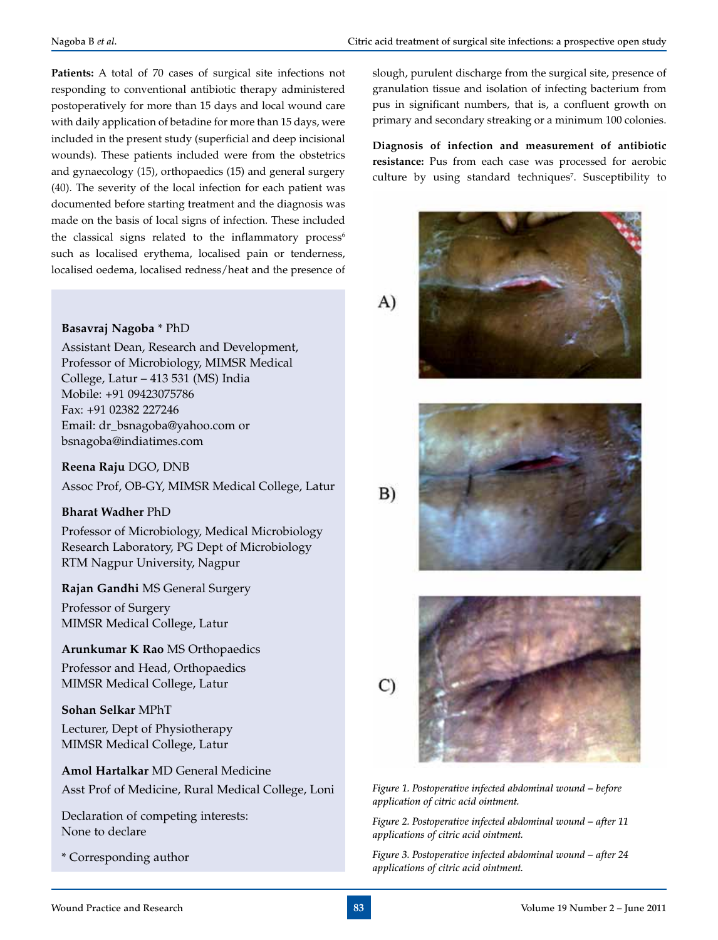**Patients:** A total of 70 cases of surgical site infections not responding to conventional antibiotic therapy administered postoperatively for more than 15 days and local wound care with daily application of betadine for more than 15 days, were included in the present study (superficial and deep incisional wounds). These patients included were from the obstetrics and gynaecology (15), orthopaedics (15) and general surgery (40). The severity of the local infection for each patient was documented before starting treatment and the diagnosis was made on the basis of local signs of infection. These included the classical signs related to the inflammatory process<sup>6</sup> such as localised erythema, localised pain or tenderness, localised oedema, localised redness/heat and the presence of

#### **Basavraj Nagoba** \* PhD

Assistant Dean, Research and Development, Professor of Microbiology, MIMSR Medical College, Latur – 413 531 (MS) India Mobile: +91 09423075786 Fax: +91 02382 227246 Email: dr\_bsnagoba@yahoo.com or bsnagoba@indiatimes.com

**Reena Raju** DGO, DNB

Assoc Prof, OB-GY, MIMSR Medical College, Latur

#### **Bharat Wadher** PhD

Professor of Microbiology, Medical Microbiology Research Laboratory, PG Dept of Microbiology RTM Nagpur University, Nagpur

## **Rajan Gandhi** MS General Surgery

Professor of Surgery MIMSR Medical College, Latur

#### **Arunkumar K Rao** MS Orthopaedics

Professor and Head, Orthopaedics MIMSR Medical College, Latur

#### **Sohan Selkar** MPhT

Lecturer, Dept of Physiotherapy MIMSR Medical College, Latur

**Amol Hartalkar** MD General Medicine Asst Prof of Medicine, Rural Medical College, Loni

Declaration of competing interests: None to declare

\* Corresponding author

slough, purulent discharge from the surgical site, presence of granulation tissue and isolation of infecting bacterium from pus in significant numbers, that is, a confluent growth on primary and secondary streaking or a minimum 100 colonies.

**Diagnosis of infection and measurement of antibiotic resistance:** Pus from each case was processed for aerobic culture by using standard techniques<sup>7</sup>. Susceptibility to





 $B)$ 





*Figure 1. Postoperative infected abdominal wound – before application of citric acid ointment.*

*Figure 2. Postoperative infected abdominal wound – after 11 applications of citric acid ointment.*

*Figure 3. Postoperative infected abdominal wound – after 24 applications of citric acid ointment.*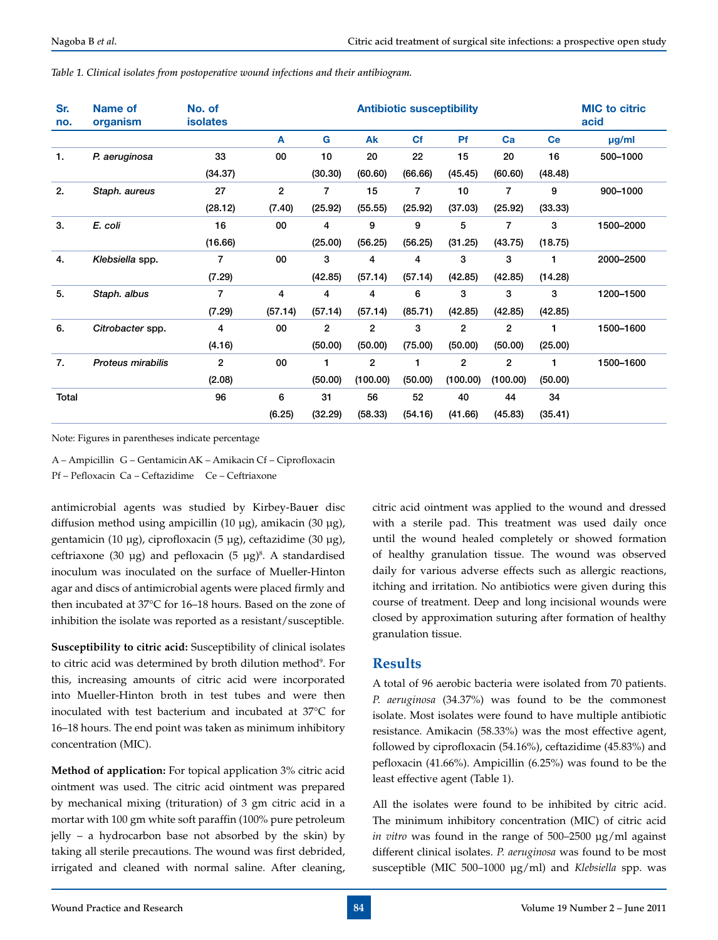| Sr.<br>no. | Name of<br>organism      | No. of<br><b>isolates</b> | <b>Antibiotic susceptibility</b> |         |                |           |                |                |           | <b>MIC</b> to citric<br>acid |
|------------|--------------------------|---------------------------|----------------------------------|---------|----------------|-----------|----------------|----------------|-----------|------------------------------|
|            |                          |                           | A                                | G       | Ak             | <b>Cf</b> | <b>Pf</b>      | Ca             | <b>Ce</b> | µg/ml                        |
| 1.         | P. aeruginosa            | 33                        | 00                               | 10      | 20             | 22        | 15             | 20             | 16        | 500-1000                     |
|            |                          | (34.37)                   |                                  | (30.30) | (60.60)        | (66.66)   | (45.45)        | (60.60)        | (48.48)   |                              |
| 2.         | Staph. aureus            | 27                        | $\overline{2}$                   | 7       | 15             | 7         | 10             | 7              | 9         | 900-1000                     |
|            |                          | (28.12)                   | (7.40)                           | (25.92) | (55.55)        | (25.92)   | (37.03)        | (25.92)        | (33.33)   |                              |
| 3.         | E. coli                  | 16                        | 00                               | 4       | 9              | 9         | 5              | 7              | 3         | 1500-2000                    |
|            |                          | (16.66)                   |                                  | (25.00) | (56.25)        | (56.25)   | (31.25)        | (43.75)        | (18.75)   |                              |
| 4.         | Klebsiella spp.          | 7                         | 00                               | 3       | 4              | 4         | 3              | 3              | 1         | 2000-2500                    |
|            |                          | (7.29)                    |                                  | (42.85) | (57.14)        | (57.14)   | (42.85)        | (42.85)        | (14.28)   |                              |
| 5.         | Staph. albus             | 7                         | 4                                | 4       | 4              | 6         | 3              | 3              | 3         | 1200-1500                    |
|            |                          | (7.29)                    | (57.14)                          | (57.14) | (57.14)        | (85.71)   | (42.85)        | (42.85)        | (42.85)   |                              |
| 6.         | Citrobacter spp.         | 4                         | 00                               | 2       | $\overline{2}$ | 3         | $\overline{2}$ | $\overline{2}$ | 1         | 1500-1600                    |
|            |                          | (4.16)                    |                                  | (50.00) | (50.00)        | (75.00)   | (50.00)        | (50.00)        | (25.00)   |                              |
| 7.         | <b>Proteus mirabilis</b> | $\overline{2}$            | 00                               | 1       | $\overline{2}$ | 1         | $\overline{2}$ | 2              | 1         | 1500-1600                    |
|            |                          | (2.08)                    |                                  | (50.00) | (100.00)       | (50.00)   | (100.00)       | (100.00)       | (50.00)   |                              |
| Total      |                          | 96                        | 6                                | 31      | 56             | 52        | 40             | 44             | 34        |                              |
|            |                          |                           | (6.25)                           | (32.29) | (58.33)        | (54.16)   | (41.66)        | (45.83)        | (35.41)   |                              |

*Table 1. Clinical isolates from postoperative wound infections and their antibiogram.*

Note: Figures in parentheses indicate percentage

A – Ampicillin G – GentamicinAK – Amikacin Cf – Ciprofloxacin Pf – Pefloxacin Ca – Ceftazidime Ce – Ceftriaxone

antimicrobial agents was studied by Kirbey-Bau**e**r disc diffusion method using ampicillin (10 µg), amikacin (30 µg), gentamicin (10 µg), ciprofloxacin (5 µg), ceftazidime (30 µg), ceftriaxone (30  $\mu$ g) and pefloxacin (5  $\mu$ g)<sup>8</sup>. A standardised inoculum was inoculated on the surface of Mueller-Hinton agar and discs of antimicrobial agents were placed firmly and then incubated at 37°C for 16–18 hours. Based on the zone of inhibition the isolate was reported as a resistant/susceptible.

**Susceptibility to citric acid:** Susceptibility of clinical isolates to citric acid was determined by broth dilution method<sup>9</sup>. For this, increasing amounts of citric acid were incorporated into Mueller-Hinton broth in test tubes and were then inoculated with test bacterium and incubated at 37°C for 16–18 hours. The end point was taken as minimum inhibitory concentration (MIC).

**Method of application:** For topical application 3% citric acid ointment was used. The citric acid ointment was prepared by mechanical mixing (trituration) of 3 gm citric acid in a mortar with 100 gm white soft paraffin (100% pure petroleum jelly – a hydrocarbon base not absorbed by the skin) by taking all sterile precautions. The wound was first debrided, irrigated and cleaned with normal saline. After cleaning,

citric acid ointment was applied to the wound and dressed with a sterile pad. This treatment was used daily once until the wound healed completely or showed formation of healthy granulation tissue. The wound was observed daily for various adverse effects such as allergic reactions, itching and irritation. No antibiotics were given during this course of treatment. Deep and long incisional wounds were closed by approximation suturing after formation of healthy granulation tissue.

## **Results**

A total of 96 aerobic bacteria were isolated from 70 patients. *P. aeruginosa* (34.37%) was found to be the commonest isolate. Most isolates were found to have multiple antibiotic resistance. Amikacin (58.33%) was the most effective agent, followed by ciprofloxacin (54.16%), ceftazidime (45.83%) and pefloxacin (41.66%). Ampicillin (6.25%) was found to be the least effective agent (Table 1).

All the isolates were found to be inhibited by citric acid. The minimum inhibitory concentration (MIC) of citric acid *in vitro* was found in the range of 500–2500 µg/ml against different clinical isolates. *P. aeruginosa* was found to be most susceptible (MIC 500–1000 µg/ml) and *Klebsiella* spp. was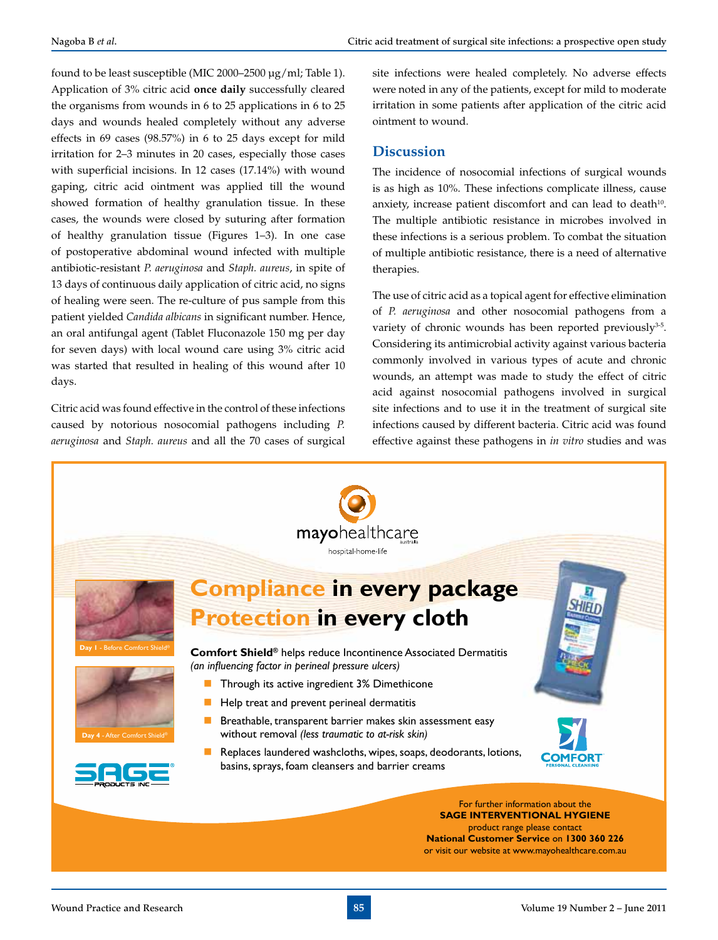found to be least susceptible (MIC 2000–2500 µg/ml; Table 1). Application of 3% citric acid **once daily** successfully cleared the organisms from wounds in 6 to 25 applications in 6 to 25 days and wounds healed completely without any adverse effects in 69 cases (98.57%) in 6 to 25 days except for mild irritation for 2–3 minutes in 20 cases, especially those cases with superficial incisions. In 12 cases (17.14%) with wound gaping, citric acid ointment was applied till the wound showed formation of healthy granulation tissue. In these cases, the wounds were closed by suturing after formation of healthy granulation tissue (Figures 1–3). In one case of postoperative abdominal wound infected with multiple antibiotic-resistant *P. aeruginosa* and *Staph. aureus*, in spite of 13 days of continuous daily application of citric acid, no signs of healing were seen. The re-culture of pus sample from this patient yielded *Candida albicans* in significant number. Hence, an oral antifungal agent (Tablet Fluconazole 150 mg per day for seven days) with local wound care using 3% citric acid was started that resulted in healing of this wound after 10 days.

Citric acid was found effective in the control of these infections caused by notorious nosocomial pathogens including *P. aeruginosa* and *Staph. aureus* and all the 70 cases of surgical site infections were healed completely. No adverse effects were noted in any of the patients, except for mild to moderate irritation in some patients after application of the citric acid ointment to wound.

## **Discussion**

The incidence of nosocomial infections of surgical wounds is as high as 10%. These infections complicate illness, cause anxiety, increase patient discomfort and can lead to death<sup>10</sup>. The multiple antibiotic resistance in microbes involved in these infections is a serious problem. To combat the situation of multiple antibiotic resistance, there is a need of alternative therapies.

The use of citric acid as a topical agent for effective elimination of *P. aeruginosa* and other nosocomial pathogens from a variety of chronic wounds has been reported previously<sup>3-5</sup>. Considering its antimicrobial activity against various bacteria commonly involved in various types of acute and chronic wounds, an attempt was made to study the effect of citric acid against nosocomial pathogens involved in surgical site infections and to use it in the treatment of surgical site infections caused by different bacteria. Citric acid was found effective against these pathogens in *in vitro* studies and was